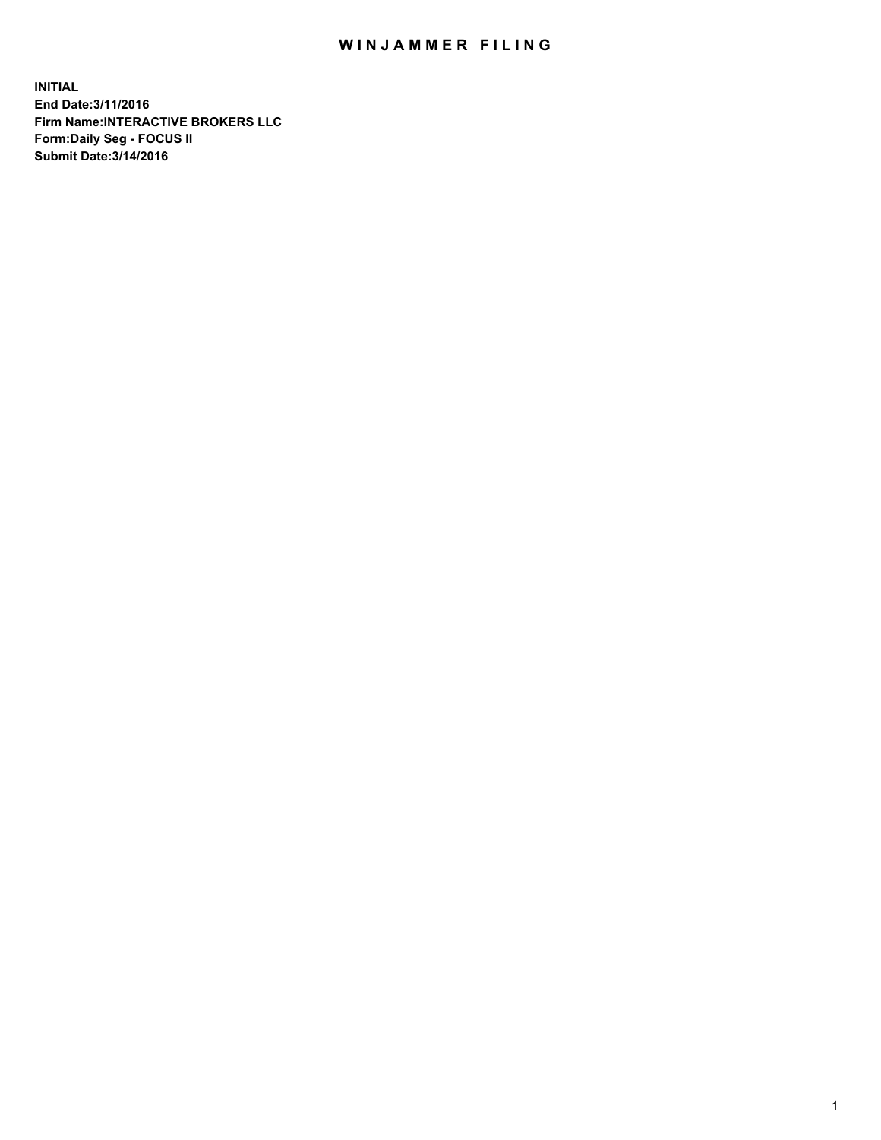## WIN JAMMER FILING

**INITIAL End Date:3/11/2016 Firm Name:INTERACTIVE BROKERS LLC Form:Daily Seg - FOCUS II Submit Date:3/14/2016**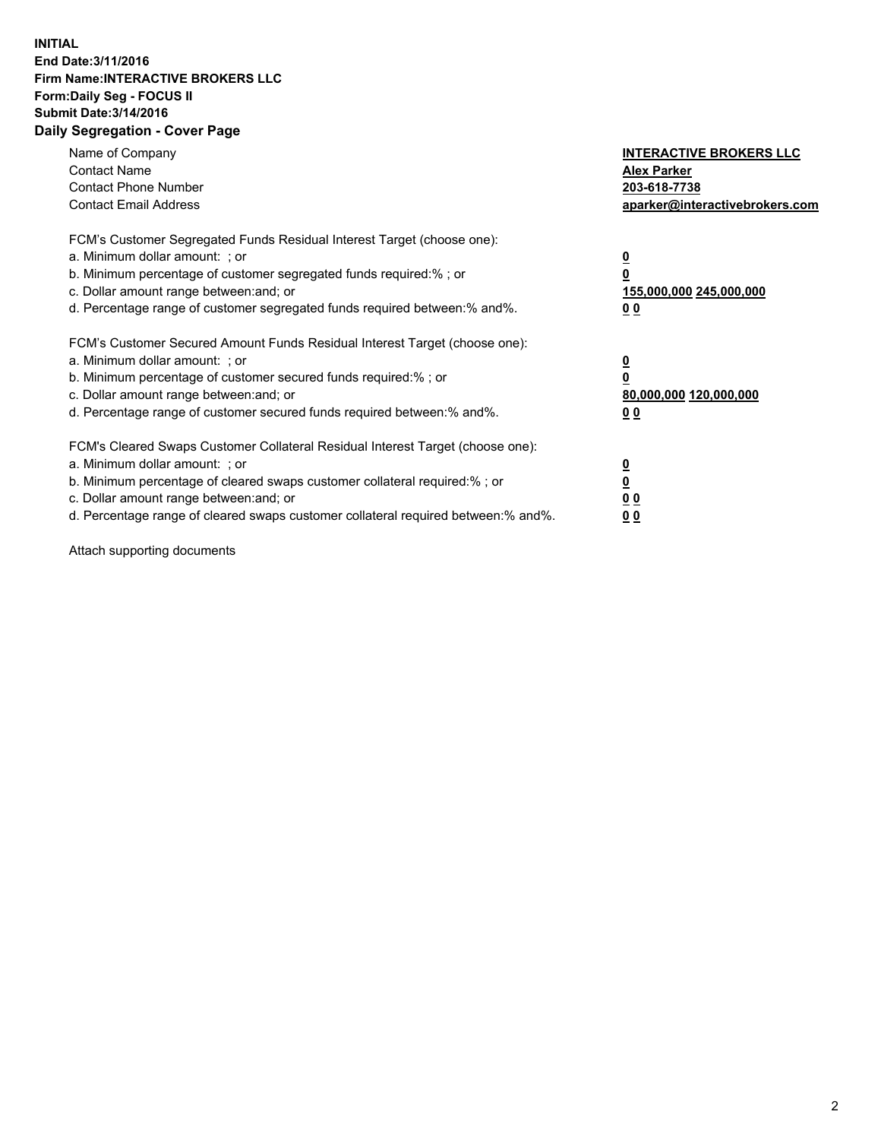## **INITIAL End Date:3/11/2016 Firm Name:INTERACTIVE BROKERS LLC Form:Daily Seg - FOCUS II Submit Date:3/14/2016 Daily Segregation - Cover Page**

| Name of Company<br><b>Contact Name</b><br><b>Contact Phone Number</b><br><b>Contact Email Address</b>                                                                                                                                                                                                                          | <b>INTERACTIVE BROKERS LLC</b><br><b>Alex Parker</b><br>203-618-7738<br>aparker@interactivebrokers.com |
|--------------------------------------------------------------------------------------------------------------------------------------------------------------------------------------------------------------------------------------------------------------------------------------------------------------------------------|--------------------------------------------------------------------------------------------------------|
| FCM's Customer Segregated Funds Residual Interest Target (choose one):<br>a. Minimum dollar amount: ; or<br>b. Minimum percentage of customer segregated funds required:%; or<br>c. Dollar amount range between: and; or<br>d. Percentage range of customer segregated funds required between:% and%.                          | <u>0</u><br>155,000,000 245,000,000<br><u>00</u>                                                       |
| FCM's Customer Secured Amount Funds Residual Interest Target (choose one):<br>a. Minimum dollar amount: ; or<br>b. Minimum percentage of customer secured funds required:%; or<br>c. Dollar amount range between: and; or<br>d. Percentage range of customer secured funds required between:% and%.                            | <u>0</u><br>80,000,000 120,000,000<br><u>00</u>                                                        |
| FCM's Cleared Swaps Customer Collateral Residual Interest Target (choose one):<br>a. Minimum dollar amount: ; or<br>b. Minimum percentage of cleared swaps customer collateral required:% ; or<br>c. Dollar amount range between: and; or<br>d. Percentage range of cleared swaps customer collateral required between:% and%. | <u>0</u><br>0 <sub>0</sub><br>0 <sub>0</sub>                                                           |

Attach supporting documents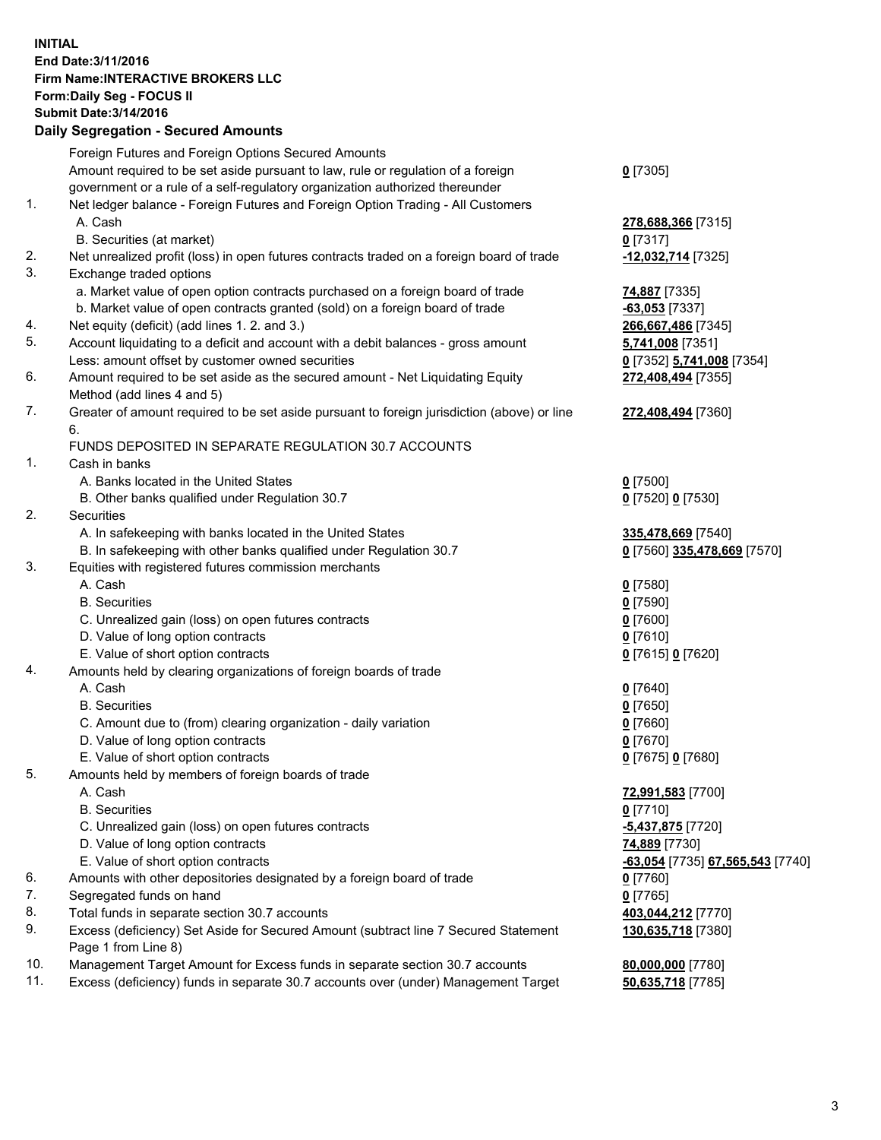## **INITIAL End Date:3/11/2016 Firm Name:INTERACTIVE BROKERS LLC Form:Daily Seg - FOCUS II Submit Date:3/14/2016 Daily Segregation - Secured Amounts**

|     | Daily Jegregation - Jeculed Aniounts                                                        |                                  |
|-----|---------------------------------------------------------------------------------------------|----------------------------------|
|     | Foreign Futures and Foreign Options Secured Amounts                                         |                                  |
|     | Amount required to be set aside pursuant to law, rule or regulation of a foreign            | $0$ [7305]                       |
|     | government or a rule of a self-regulatory organization authorized thereunder                |                                  |
| 1.  | Net ledger balance - Foreign Futures and Foreign Option Trading - All Customers             |                                  |
|     | A. Cash                                                                                     | 278,688,366 [7315]               |
|     | B. Securities (at market)                                                                   | 0 [7317]                         |
| 2.  | Net unrealized profit (loss) in open futures contracts traded on a foreign board of trade   | -12,032,714 [7325]               |
| 3.  | Exchange traded options                                                                     |                                  |
|     | a. Market value of open option contracts purchased on a foreign board of trade              | <b>74,887</b> [7335]             |
|     | b. Market value of open contracts granted (sold) on a foreign board of trade                | $-63,053$ [7337]                 |
| 4.  | Net equity (deficit) (add lines 1. 2. and 3.)                                               | 266,667,486 [7345]               |
| 5.  | Account liquidating to a deficit and account with a debit balances - gross amount           | 5,741,008 [7351]                 |
|     | Less: amount offset by customer owned securities                                            | 0 [7352] 5,741,008 [7354]        |
| 6.  | Amount required to be set aside as the secured amount - Net Liquidating Equity              | 272,408,494 [7355]               |
|     | Method (add lines 4 and 5)                                                                  |                                  |
| 7.  | Greater of amount required to be set aside pursuant to foreign jurisdiction (above) or line | 272,408,494 [7360]               |
|     | 6.                                                                                          |                                  |
|     | FUNDS DEPOSITED IN SEPARATE REGULATION 30.7 ACCOUNTS                                        |                                  |
| 1.  | Cash in banks                                                                               |                                  |
|     | A. Banks located in the United States                                                       | $0$ [7500]                       |
|     | B. Other banks qualified under Regulation 30.7                                              | 0 [7520] 0 [7530]                |
| 2.  | Securities                                                                                  |                                  |
|     | A. In safekeeping with banks located in the United States                                   | 335,478,669 [7540]               |
|     | B. In safekeeping with other banks qualified under Regulation 30.7                          | 0 [7560] 335,478,669 [7570]      |
| 3.  | Equities with registered futures commission merchants                                       |                                  |
|     | A. Cash                                                                                     | $0$ [7580]                       |
|     | <b>B.</b> Securities                                                                        | $0$ [7590]                       |
|     | C. Unrealized gain (loss) on open futures contracts                                         | $0$ [7600]                       |
|     | D. Value of long option contracts                                                           | $0$ [7610]                       |
|     | E. Value of short option contracts                                                          |                                  |
| 4.  | Amounts held by clearing organizations of foreign boards of trade                           | 0 [7615] 0 [7620]                |
|     | A. Cash                                                                                     |                                  |
|     | <b>B.</b> Securities                                                                        | $0$ [7640]<br>$0$ [7650]         |
|     |                                                                                             |                                  |
|     | C. Amount due to (from) clearing organization - daily variation                             | $0$ [7660]                       |
|     | D. Value of long option contracts<br>E. Value of short option contracts                     | $0$ [7670]                       |
|     |                                                                                             | 0 [7675] 0 [7680]                |
| 5.  | Amounts held by members of foreign boards of trade                                          |                                  |
|     | A. Cash                                                                                     | 72,991,583 [7700]                |
|     | <b>B.</b> Securities                                                                        | $0$ [7710]                       |
|     | C. Unrealized gain (loss) on open futures contracts                                         | -5,437,875 [7720]                |
|     | D. Value of long option contracts                                                           | 74,889 [7730]                    |
|     | E. Value of short option contracts                                                          | -63,054 [7735] 67,565,543 [7740] |
| 6.  | Amounts with other depositories designated by a foreign board of trade                      | 0 [7760]                         |
| 7.  | Segregated funds on hand                                                                    | $0$ [7765]                       |
| 8.  | Total funds in separate section 30.7 accounts                                               | 403,044,212 [7770]               |
| 9.  | Excess (deficiency) Set Aside for Secured Amount (subtract line 7 Secured Statement         | 130,635,718 [7380]               |
|     | Page 1 from Line 8)                                                                         |                                  |
| 10. | Management Target Amount for Excess funds in separate section 30.7 accounts                 | 80,000,000 [7780]                |
| 11. | Excess (deficiency) funds in separate 30.7 accounts over (under) Management Target          | 50,635,718 [7785]                |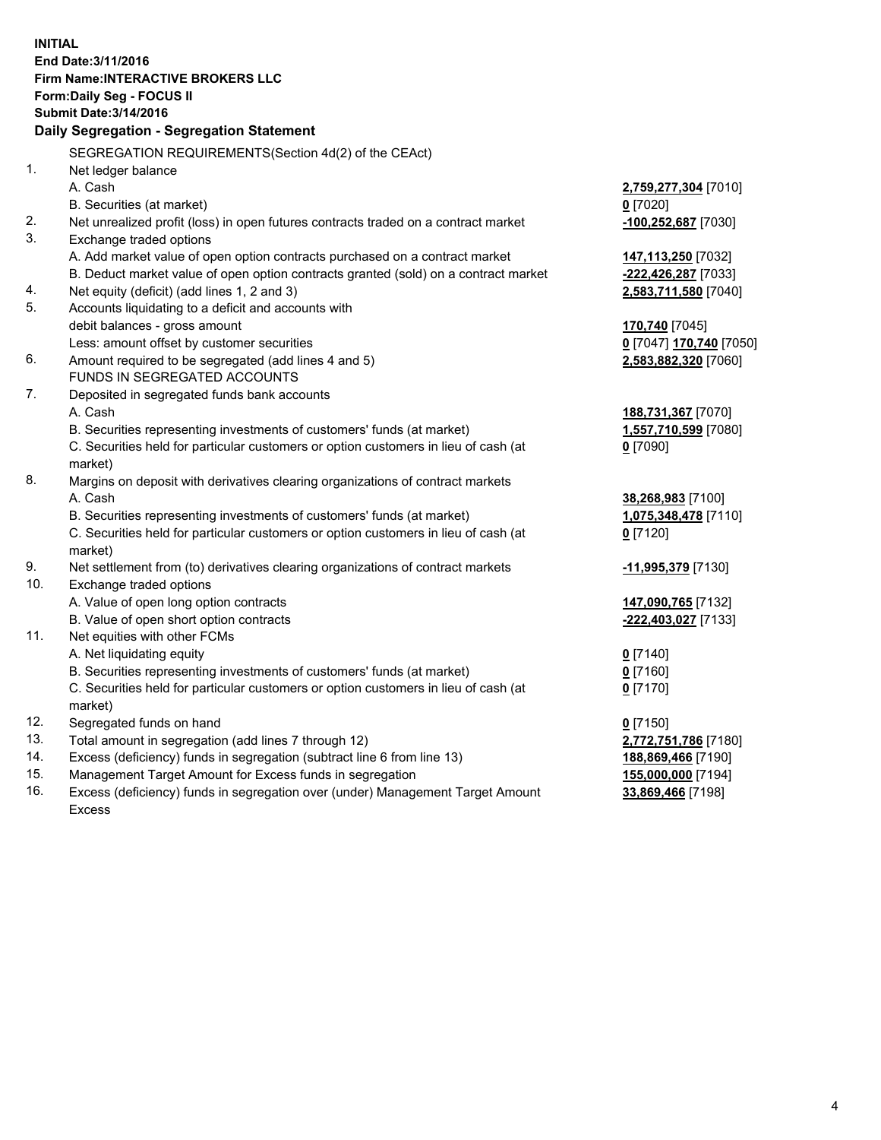**INITIAL End Date:3/11/2016 Firm Name:INTERACTIVE BROKERS LLC Form:Daily Seg - FOCUS II Submit Date:3/14/2016 Daily Segregation - Segregation Statement** SEGREGATION REQUIREMENTS(Section 4d(2) of the CEAct) 1. Net ledger balance A. Cash **2,759,277,304** [7010] B. Securities (at market) **0** [7020] 2. Net unrealized profit (loss) in open futures contracts traded on a contract market **-100,252,687** [7030] 3. Exchange traded options A. Add market value of open option contracts purchased on a contract market **147,113,250** [7032] B. Deduct market value of open option contracts granted (sold) on a contract market **-222,426,287** [7033] 4. Net equity (deficit) (add lines 1, 2 and 3) **2,583,711,580** [7040] 5. Accounts liquidating to a deficit and accounts with debit balances - gross amount **170,740** [7045] Less: amount offset by customer securities **0** [7047] **170,740** [7050] 6. Amount required to be segregated (add lines 4 and 5) **2,583,882,320** [7060] FUNDS IN SEGREGATED ACCOUNTS 7. Deposited in segregated funds bank accounts A. Cash **188,731,367** [7070] B. Securities representing investments of customers' funds (at market) **1,557,710,599** [7080] C. Securities held for particular customers or option customers in lieu of cash (at market) **0** [7090] 8. Margins on deposit with derivatives clearing organizations of contract markets A. Cash **38,268,983** [7100] B. Securities representing investments of customers' funds (at market) **1,075,348,478** [7110] C. Securities held for particular customers or option customers in lieu of cash (at market) **0** [7120] 9. Net settlement from (to) derivatives clearing organizations of contract markets **-11,995,379** [7130] 10. Exchange traded options A. Value of open long option contracts **147,090,765** [7132] B. Value of open short option contracts **-222,403,027** [7133] 11. Net equities with other FCMs A. Net liquidating equity **0** [7140] B. Securities representing investments of customers' funds (at market) **0** [7160] C. Securities held for particular customers or option customers in lieu of cash (at market) **0** [7170] 12. Segregated funds on hand **0** [7150] 13. Total amount in segregation (add lines 7 through 12) **2,772,751,786** [7180] 14. Excess (deficiency) funds in segregation (subtract line 6 from line 13) **188,869,466** [7190] 15. Management Target Amount for Excess funds in segregation **155,000,000** [7194]

16. Excess (deficiency) funds in segregation over (under) Management Target Amount Excess

**33,869,466** [7198]